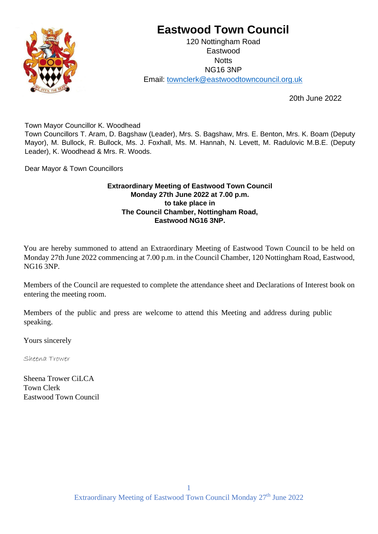

# **Eastwood Town Council**

120 Nottingham Road Eastwood **Notts** NG16 3NP Email: townclerk@eastwoodtowncouncil.org.uk

20th June 2022

Town Mayor Councillor K. Woodhead

Town Councillors T. Aram, D. Bagshaw (Leader), Mrs. S. Bagshaw, Mrs. E. Benton, Mrs. K. Boam (Deputy Mayor), M. Bullock, R. Bullock, Ms. J. Foxhall, Ms. M. Hannah, N. Levett, M. Radulovic M.B.E. (Deputy Leader), K. Woodhead & Mrs. R. Woods.

Dear Mayor & Town Councillors

## **Extraordinary Meeting of Eastwood Town Council Monday 27th June 2022 at 7.00 p.m. to take place in The Council Chamber, Nottingham Road, Eastwood NG16 3NP.**

You are hereby summoned to attend an Extraordinary Meeting of Eastwood Town Council to be held on Monday 27th June 2022 commencing at 7.00 p.m. in the Council Chamber, 120 Nottingham Road, Eastwood, NG16 3NP.

Members of the Council are requested to complete the attendance sheet and Declarations of Interest book on entering the meeting room.

Members of the public and press are welcome to attend this Meeting and address during public speaking.

Yours sincerely

Sheena Trower

Sheena Trower CiLCA Town Clerk Eastwood Town Council